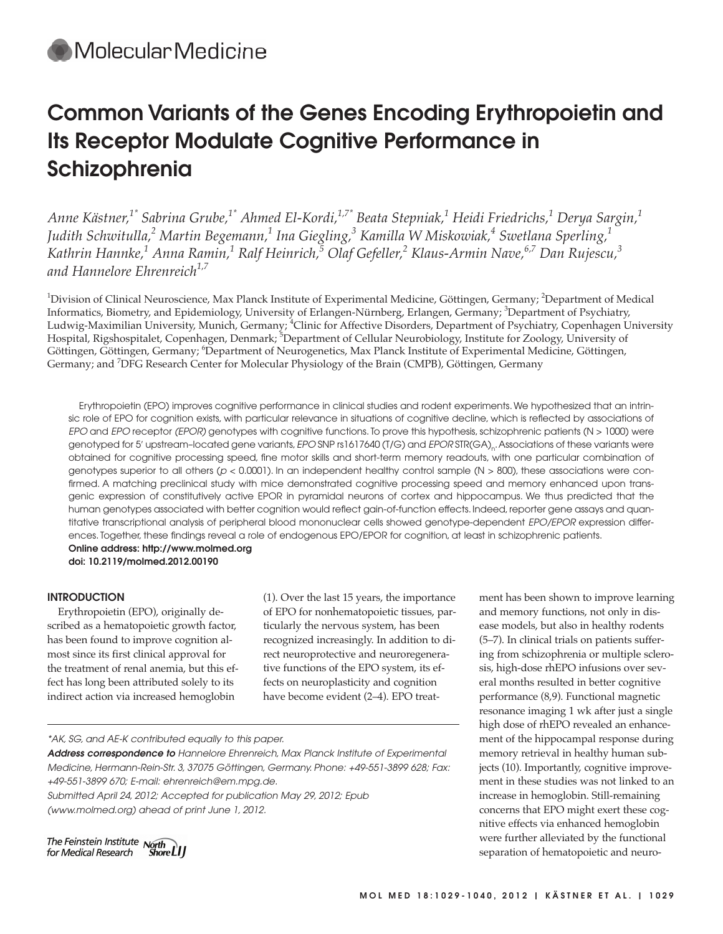# **Common Variants of the Genes Encoding Erythropoietin and Its Receptor Modulate Cognitive Performance in Schizophrenia**

*Anne Kästner,1\* Sabrina Grube,1\* Ahmed El-Kordi,1,7\* Beata Stepniak,1 Heidi Friedrichs,<sup>1</sup> Derya Sargin,<sup>1</sup> Judith Schwitulla,<sup>2</sup> Martin Begemann,<sup>1</sup> Ina Giegling,3 Kamilla W Miskowiak,4 Swetlana Sperling,<sup>1</sup> Kathrin Hannke,<sup>1</sup> Anna Ramin,1 Ralf Heinrich,5 Olaf Gefeller,2 Klaus-Armin Nave,6,7 Dan Rujescu,<sup>3</sup> and Hannelore Ehrenreich1,7*

<sup>1</sup>Division of Clinical Neuroscience, Max Planck Institute of Experimental Medicine, Göttingen, Germany; <sup>2</sup>Department of Medical Informatics, Biometry, and Epidemiology, University of Erlangen-Nürnberg, Erlangen, Germany; <sup>3</sup>Department of Psychiatry, Ludwig-Maximilian University, Munich, Germany; <sup>4</sup>Clinic for Affective Disorders, Department of Psychiatry, Copenhagen University Hospital, Rigshospitalet, Copenhagen, Denmark; <sup>5</sup>Department of Cellular Neurobiology, Institute for Zoology, University of Göttingen, Göttingen, Germany; <sup>6</sup>Department of Neurogenetics, Max Planck Institute of Experimental Medicine, Göttingen, Germany; and <sup>7</sup>DFG Research Center for Molecular Physiology of the Brain (CMPB), Göttingen, Germany

Erythropoietin (EPO) improves cognitive performance in clinical studies and rodent experiments. We hypothesized that an intrinsic role of EPO for cognition exists, with particular relevance in situations of cognitive decline, which is reflected by associations of EPO and EPO receptor (EPOR) genotypes with cognitive functions. To prove this hypothesis, schizophrenic patients (N > 1000) were genotyped for 5' upstream-located gene variants, EPO SNP rs1617640 (T/G) and EPOR STR(GA)<sub>n</sub>. Associations of these variants were obtained for cognitive processing speed, fine motor skills and short-term memory readouts, with one particular combination of genotypes superior to all others (p < 0.0001). In an independent healthy control sample (N > 800), these associations were confirmed. A matching preclinical study with mice demonstrated cognitive processing speed and memory enhanced upon transgenic expression of constitutively active EPOR in pyramidal neurons of cortex and hippocampus. We thus predicted that the human genotypes associated with better cognition would reflect gain-of-function effects. Indeed, reporter gene assays and quantitative transcriptional analysis of peripheral blood mononuclear cells showed genotype-dependent EPO/EPOR expression differences. Together, these findings reveal a role of endogenous EPO/EPOR for cognition, at least in schizophrenic patients. **Online address: http://www.molmed.org**

**doi: 10.2119/molmed.2012.00190**

## **INTRODUCTION**

Erythropoietin (EPO), originally described as a hematopoietic growth factor, has been found to improve cognition almost since its first clinical approval for the treatment of renal anemia, but this effect has long been attributed solely to its indirect action via increased hemoglobin

(1). Over the last 15 years, the importance of EPO for nonhematopoietic tissues, particularly the nervous system, has been recognized increasingly. In addition to direct neuroprotective and neuroregenerative functions of the EPO system, its effects on neuroplasticity and cognition have become evident (2–4). EPO treat-

#### \*AK, SG, and AE-K contributed equally to this paper.

**Address correspondence to** Hannelore Ehrenreich, Max Planck Institute of Experimental Medicine, Hermann-Rein-Str. 3, 37075 Göttingen, Germany. Phone: +49-551-3899 628; Fax: +49-551-3899 670; E-mail: ehrenreich@em.mpg.de.

Submitted April 24, 2012; Accepted for publication May 29, 2012; Epub (www.molmed.org) ahead of print June 1, 2012.

ment has been shown to improve learning and memory functions, not only in disease models, but also in healthy rodents (5–7). In clinical trials on patients suffering from schizophrenia or multiple sclerosis, high-dose rhEPO infusions over several months resulted in better cognitive performance (8,9). Functional magnetic resonance imaging 1 wk after just a single high dose of rhEPO revealed an enhancement of the hippocampal response during memory retrieval in healthy human subjects (10). Importantly, cognitive improvement in these studies was not linked to an increase in hemoglobin. Still-remaining concerns that EPO might exert these cognitive effects via enhanced hemoglobin were further alleviated by the functional separation of hematopoietic and neuro-

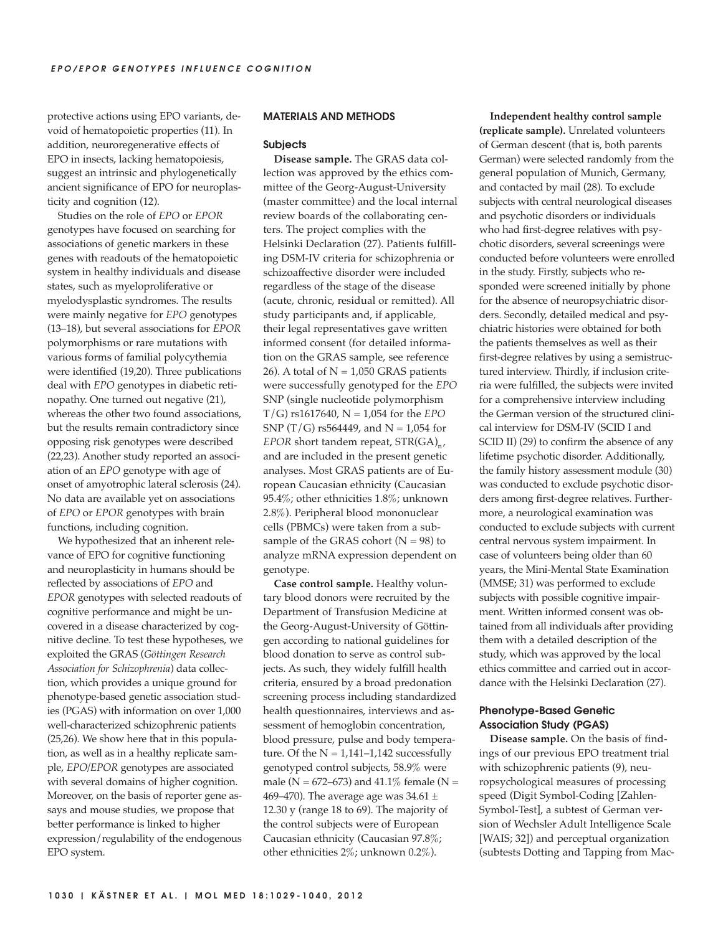protective actions using EPO variants, devoid of hematopoietic properties (11). In addition, neuroregenerative effects of EPO in insects, lacking hematopoiesis, suggest an intrinsic and phylogenetically ancient significance of EPO for neuroplasticity and cognition (12).

Studies on the role of *EPO* or *EPOR* genotypes have focused on searching for associations of genetic markers in these genes with readouts of the hematopoietic system in healthy individuals and disease states, such as myeloproliferative or myelodysplastic syndromes. The results were mainly negative for *EPO* genotypes (13–18), but several associations for *EPOR* polymorphisms or rare mutations with various forms of familial polycythemia were identified (19,20). Three publications deal with *EPO* genotypes in diabetic retinopathy. One turned out negative (21), whereas the other two found associations, but the results remain contradictory since opposing risk genotypes were described (22,23). Another study reported an association of an *EPO* genotype with age of onset of amyotrophic lateral sclerosis (24). No data are available yet on associations of *EPO* or *EPOR* genotypes with brain functions, including cognition.

We hypothesized that an inherent relevance of EPO for cognitive functioning and neuroplasticity in humans should be reflected by associations of *EPO* and *EPOR* genotypes with selected readouts of cognitive performance and might be uncovered in a disease characterized by cognitive decline. To test these hypotheses, we exploited the GRAS (*Göttingen Research Association for Schizophrenia*) data collection, which provides a unique ground for phenotype-based genetic association studies (PGAS) with information on over 1,000 well-characterized schizophrenic patients (25,26). We show here that in this population, as well as in a healthy replicate sample, *EPO/EPOR* genotypes are associated with several domains of higher cognition. Moreover, on the basis of reporter gene assays and mouse studies, we propose that better performance is linked to higher expression/ regulability of the endogenous EPO system.

## **MATERIALS AND METHODS**

#### **Subjects**

**Disease sample.** The GRAS data collection was approved by the ethics committee of the Georg-August-University (master committee) and the local internal review boards of the collaborating centers. The project complies with the Helsinki Declaration (27). Patients fulfilling DSM-IV criteria for schizophrenia or schizoaffective disorder were included regardless of the stage of the disease (acute, chronic, residual or remitted). All study participants and, if applicable, their legal representatives gave written informed consent (for detailed information on the GRAS sample, see reference 26). A total of  $N = 1,050$  GRAS patients were successfully genotyped for the *EPO* SNP (single nucleotide polymorphism T/G) rs1617640, N = 1,054 for the *EPO* SNP (T/G) rs564449, and N = 1,054 for *EPOR* short tandem repeat,  $STR(GA)_{n}$ , and are included in the present genetic analyses. Most GRAS patients are of European Caucasian ethnicity (Caucasian 95.4%; other ethnicities 1.8%; unknown 2.8%). Peripheral blood mononuclear cells (PBMCs) were taken from a subsample of the GRAS cohort  $(N = 98)$  to analyze mRNA expression dependent on genotype.

**Case control sample.** Healthy voluntary blood donors were recruited by the Department of Transfusion Medicine at the Georg-August-University of Göttingen according to national guidelines for blood donation to serve as control subjects. As such, they widely fulfill health criteria, ensured by a broad predonation screening process including standardized health questionnaires, interviews and assessment of hemoglobin concentration, blood pressure, pulse and body temperature. Of the  $N = 1,141-1,142$  successfully genotyped control subjects, 58.9% were male ( $N = 672-673$ ) and 41.1% female ( $N =$ 469–470). The average age was  $34.61 \pm$ 12.30 y (range 18 to 69). The majority of the control subjects were of European Caucasian ethnicity (Caucasian 97.8%; other ethnicities 2%; unknown 0.2%).

## **Independent healthy control sample (replicate sample).** Unrelated volunteers of German descent (that is, both parents German) were selected randomly from the general population of Munich, Germany, and contacted by mail (28). To exclude subjects with central neurological diseases and psychotic disorders or individuals who had first-degree relatives with psychotic disorders, several screenings were conducted before volunteers were enrolled in the study. Firstly, subjects who responded were screened initially by phone for the absence of neuropsychiatric disorders. Secondly, detailed medical and psy-

chiatric histories were obtained for both the patients themselves as well as their first-degree relatives by using a semistructured interview. Thirdly, if inclusion criteria were fulfilled, the subjects were invited for a comprehensive interview including the German version of the structured clinical interview for DSM-IV (SCID I and SCID II) (29) to confirm the absence of any lifetime psychotic disorder. Additionally, the family history assessment module (30) was conducted to exclude psychotic disorders among first-degree relatives. Furthermore, a neurological examination was conducted to exclude subjects with current central nervous system impairment. In case of volunteers being older than 60 years, the Mini-Mental State Examination (MMSE; 31) was performed to exclude subjects with possible cognitive impairment. Written informed consent was obtained from all individuals after providing them with a detailed description of the study, which was approved by the local ethics committee and carried out in accor-

## **Phenotype-Based Genetic Association Study (PGAS)**

**Disease sample.** On the basis of findings of our previous EPO treatment trial with schizophrenic patients (9), neuropsychological measures of processing speed (Digit Symbol-Coding [Zahlen-Symbol-Test], a subtest of German version of Wechsler Adult Intelligence Scale [WAIS; 32]) and perceptual organization (subtests Dotting and Tapping from Mac-

dance with the Helsinki Declaration (27).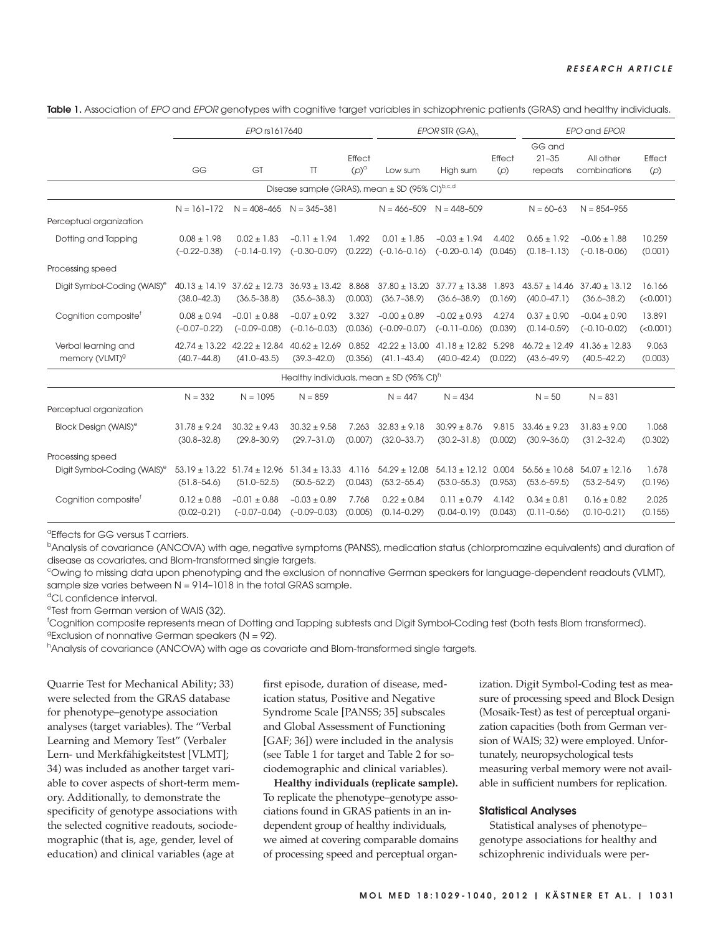|                                                                | EPO rs1617640                                          |                                                        |                                            |                       | EPOR STR $(GA)$ <sub>n</sub>                             |                                            |                  | EPO and EPOR                         |                                                        |                    |  |
|----------------------------------------------------------------|--------------------------------------------------------|--------------------------------------------------------|--------------------------------------------|-----------------------|----------------------------------------------------------|--------------------------------------------|------------------|--------------------------------------|--------------------------------------------------------|--------------------|--|
|                                                                | GG                                                     | GT                                                     | <b>TT</b>                                  | Effect<br>$(p)^\circ$ | Low sum                                                  | High sum                                   | Effect<br>(p)    | GG and<br>$21 - 35$<br>repeats       | All other<br>combinations                              | Effect<br>(p)      |  |
| Disease sample (GRAS), mean $\pm$ SD (95% CI) <sup>b,c,d</sup> |                                                        |                                                        |                                            |                       |                                                          |                                            |                  |                                      |                                                        |                    |  |
| Perceptual organization                                        | $N = 161 - 172$                                        | $N = 408 - 465$ $N = 345 - 381$                        |                                            |                       | $N = 466 - 509$ $N = 448 - 509$                          |                                            |                  | $N = 60 - 63$                        | $N = 854 - 955$                                        |                    |  |
| Dotting and Tapping                                            | $0.08 \pm 1.98$<br>$(-0.22 - 0.38)$                    | $0.02 \pm 1.83$<br>$(-0.14 - 0.19)$                    | $-0.11 \pm 1.94$<br>$(-0.30 - 0.09)$       | 1.492<br>(0.222)      | $0.01 \pm 1.85$<br>$(-0.16 - 0.16)$                      | $-0.03 \pm 1.94$<br>$(-0.20 - 0.14)$       | 4.402<br>(0.045) | $0.65 \pm 1.92$<br>$(0.18 - 1.13)$   | $-0.06 \pm 1.88$<br>$(-0.18 - 0.06)$                   | 10.259<br>(0.001)  |  |
| Processing speed                                               |                                                        |                                                        |                                            |                       |                                                          |                                            |                  |                                      |                                                        |                    |  |
| Digit Symbol-Coding (WAIS) <sup>e</sup>                        | $(38.0 - 42.3)$                                        | $40.13 \pm 14.19$ 37.62 $\pm$ 12.73<br>$(36.5 - 38.8)$ | $36.93 \pm 13.42$ 8.868<br>$(35.6 - 38.3)$ | (0.003)               | $37.80 \pm 13.20$<br>$(36.7 - 38.9)$                     | $37.77 \pm 13.38$ 1.893<br>$(36.6 - 38.9)$ | (0.169)          | $(40.0 - 47.1)$                      | $43.57 \pm 14.46$ $37.40 \pm 13.12$<br>$(36.6 - 38.2)$ | 16.166<br>(<0.001) |  |
| Cognition composite <sup>f</sup>                               | $0.08 \pm 0.94$<br>$(-0.07 - 0.22)$                    | $-0.01 \pm 0.88$<br>$(-0.09 - 0.08)$                   | $-0.07 \pm 0.92$<br>$(-0.16 - 0.03)$       | 3.327                 | $-0.00 \pm 0.89$<br>$(0.036)$ $(-0.09-0.07)$             | $-0.02 \pm 0.93$<br>$(-0.11 - 0.06)$       | 4.274<br>(0.039) | $0.37 \pm 0.90$<br>$(0.14 - 0.59)$   | $-0.04 \pm 0.90$<br>$(-0.10 - 0.02)$                   | 13.891<br>(<0.001) |  |
| Verbal learning and<br>memory (VLMT) <sup>9</sup>              | $42.74 \pm 13.22$ $42.22 \pm 12.84$<br>$(40.7 - 44.8)$ | $(41.0 - 43.5)$                                        | $40.62 \pm 12.69$<br>$(39.3 - 42.0)$       | 0.852<br>(0.356)      | $42.22 \pm 13.00$<br>$(41.1 - 43.4)$                     | $41.18 \pm 12.82$ 5.298<br>$(40.0 - 42.4)$ | (0.022)          | $46.72 \pm 12.49$<br>$(43.6 - 49.9)$ | $41.36 \pm 12.83$<br>$(40.5 - 42.2)$                   | 9.063<br>(0.003)   |  |
|                                                                |                                                        |                                                        |                                            |                       | Healthy individuals, mean $\pm$ SD (95% CI) <sup>h</sup> |                                            |                  |                                      |                                                        |                    |  |
| Perceptual organization                                        | $N = 332$                                              | $N = 1095$                                             | $N = 859$                                  |                       | $N = 447$                                                | $N = 434$                                  |                  | $N = 50$                             | $N = 831$                                              |                    |  |
| Block Design (WAIS) <sup>e</sup>                               | $31.78 \pm 9.24$<br>$(30.8 - 32.8)$                    | $30.32 \pm 9.43$<br>$(29.8 - 30.9)$                    | $30.32 \pm 9.58$<br>$(29.7 - 31.0)$        | 7.263<br>(0.007)      | $32.83 \pm 9.18$<br>$(32.0 - 33.7)$                      | $30.99 \pm 8.76$<br>$(30.2 - 31.8)$        | 9.815<br>(0.002) | $33.46 \pm 9.23$<br>$(30.9 - 36.0)$  | $31.83 \pm 9.00$<br>$(31.2 - 32.4)$                    | 1.068<br>(0.302)   |  |
| Processing speed                                               |                                                        |                                                        |                                            |                       |                                                          |                                            |                  |                                      |                                                        |                    |  |
| Digit Symbol-Coding (WAIS) <sup>e</sup>                        | $(51.8 - 54.6)$                                        | $53.19 \pm 13.22$ $51.74 \pm 12.96$<br>$(51.0 - 52.5)$ | $51.34 \pm 13.33$<br>$(50.5 - 52.2)$       | 4.116<br>(0.043)      | $54.29 \pm 12.08$<br>$(53.2 - 55.4)$                     | $54.13 \pm 12.12$ 0.004<br>$(53.0 - 55.3)$ | (0.953)          | $56.56 \pm 10.68$<br>$(53.6 - 59.5)$ | $54.07 \pm 12.16$<br>$(53.2 - 54.9)$                   | 1.678<br>(0.196)   |  |
| Cognition composite <sup>t</sup>                               | $0.12 \pm 0.88$<br>$(0.02 - 0.21)$                     | $-0.01 \pm 0.88$<br>$(-0.07 - 0.04)$                   | $-0.03 \pm 0.89$<br>$(-0.09 - 0.03)$       | 7.768<br>(0.005)      | $0.22 \pm 0.84$<br>$(0.14 - 0.29)$                       | $0.11 \pm 0.79$<br>$(0.04 - 0.19)$         | 4.142<br>(0.043) | $0.34 \pm 0.81$<br>$(0.11 - 0.56)$   | $0.16 \pm 0.82$<br>$(0.10 - 0.21)$                     | 2.025<br>(0.155)   |  |

Table 1. Association of EPO and EPOR genotypes with cognitive target variables in schizophrenic patients (GRAS) and healthy individuals.

a Effects for GG versus T carriers.

<sup>b</sup>Analysis of covariance (ANCOVA) with age, negative symptoms (PANSS), medication status (chlorpromazine equivalents) and duration of disease as covariates, and Blom-transformed single targets.

c Owing to missing data upon phenotyping and the exclusion of nonnative German speakers for language-dependent readouts (VLMT), sample size varies between  $N = 914-1018$  in the total GRAS sample.

<sup>d</sup>CI, confidence interval.

<sup>e</sup>Test from German version of WAIS (32).

f Cognition composite represents mean of Dotting and Tapping subtests and Digit Symbol-Coding test (both tests Blom transformed). <sup>9</sup> Exclusion of nonnative German speakers ( $N = 92$ ).

h<br>Analysis of covariance (ANCOVA) with age as covariate and Blom-transformed single targets.

Quarrie Test for Mechanical Ability; 33) were selected from the GRAS database for phenotype–genotype association analyses (target variables). The "Verbal Learning and Memory Test" (Verbaler Lern- und Merkfähigkeitstest [VLMT]; 34) was included as another target variable to cover aspects of short-term memory. Additionally, to demonstrate the specificity of genotype associations with the selected cognitive readouts, sociodemographic (that is, age, gender, level of education) and clinical variables (age at

first episode, duration of disease, medication status, Positive and Negative Syndrome Scale [PANSS; 35] subscales and Global Assessment of Functioning [GAF; 36]) were included in the analysis (see Table 1 for target and Table 2 for sociodemographic and clinical variables).

**Healthy individuals (replicate sample).** To replicate the phenotype–genotype associations found in GRAS patients in an independent group of healthy individuals, we aimed at covering comparable domains of processing speed and perceptual organization. Digit Symbol-Coding test as measure of processing speed and Block Design (Mosaik-Test) as test of perceptual organization capacities (both from German version of WAIS; 32) were employed. Unfortunately, neuropsychological tests measuring verbal memory were not available in sufficient numbers for replication.

#### **Statistical Analyses**

Statistical analyses of phenotype– genotype associations for healthy and schizophrenic individuals were per-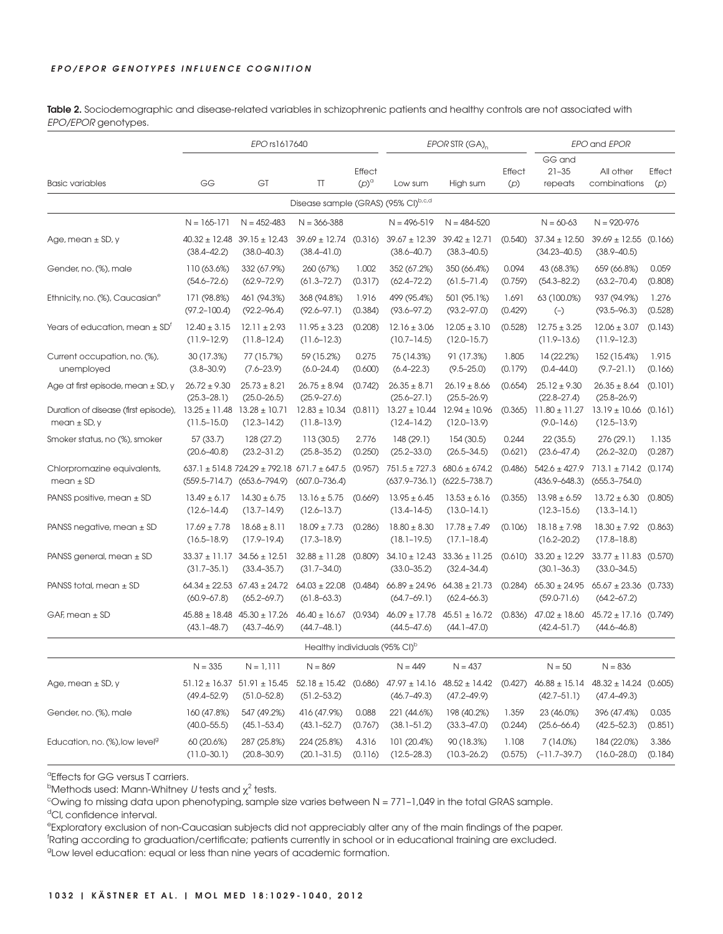#### **EPO/EPOR GENOTYPES INFLUENCE COGNITION**

|                                                                                                    | EPO rs1617640                                                                                 |                                                                                                |                                                        |                       | EPOR STR $(GA)$ <sub>n</sub>                                                                                            |                                                          |                  | EPO and EPOR                                                                     |                                                                                     |                  |
|----------------------------------------------------------------------------------------------------|-----------------------------------------------------------------------------------------------|------------------------------------------------------------------------------------------------|--------------------------------------------------------|-----------------------|-------------------------------------------------------------------------------------------------------------------------|----------------------------------------------------------|------------------|----------------------------------------------------------------------------------|-------------------------------------------------------------------------------------|------------------|
| <b>Basic variables</b>                                                                             | GG                                                                                            | GT                                                                                             | $\top$                                                 | Effect<br>$(p)^\circ$ | Low sum                                                                                                                 | High sum                                                 | Effect<br>(p)    | GG and<br>$21 - 35$<br>repeats                                                   | All other<br>combinations                                                           | Effect<br>(p)    |
|                                                                                                    |                                                                                               |                                                                                                | Disease sample (GRAS) (95% CI)b,c,d                    |                       |                                                                                                                         |                                                          |                  |                                                                                  |                                                                                     |                  |
|                                                                                                    | $N = 165 - 171$                                                                               | $N = 452 - 483$                                                                                | $N = 366 - 388$                                        |                       | $N = 496 - 519$                                                                                                         | $N = 484 - 520$                                          |                  | $N = 60 - 63$                                                                    | $N = 920 - 976$                                                                     |                  |
| Age, mean ± SD, y                                                                                  | $40.32 \pm 12.48$<br>$(38.4 - 42.2)$                                                          | $39.15 \pm 12.43$<br>$(38.0 - 40.3)$                                                           | $39.69 \pm 12.74$<br>$(38.4 - 41.0)$                   | (0.316)               | $39.67 \pm 12.39$<br>$(38.6 - 40.7)$                                                                                    | $39.42 \pm 12.71$<br>$(38.3 - 40.5)$                     | (0.540)          | $37.34 \pm 12.50$<br>$(34.23 - 40.5)$                                            | $39.69 \pm 12.55$ (0.166)<br>$(38.9 - 40.5)$                                        |                  |
| Gender, no. (%), male                                                                              | 110 (63.6%)<br>$(54.6 - 72.6)$                                                                | 332 (67.9%)<br>$(62.9 - 72.9)$                                                                 | 260 (67%)<br>$(61.3 - 72.7)$                           | 1.002<br>(0.317)      | 352 (67.2%)<br>$(62.4 - 72.2)$                                                                                          | 350 (66.4%)<br>$(61.5 - 71.4)$                           | 0.094<br>(0.759) | 43 (68.3%)<br>$(54.3 - 82.2)$                                                    | 659 (66.8%)<br>$(63.2 - 70.4)$                                                      | 0.059<br>(0.808) |
| Ethnicity, no. (%), Caucasian <sup>e</sup>                                                         | 171 (98.8%)<br>$(97.2 - 100.4)$                                                               | 461 (94.3%)<br>$(92.2 - 96.4)$                                                                 | 368 (94.8%)<br>$(92.6 - 97.1)$                         | 1.916<br>(0.384)      | 499 (95.4%)<br>$(93.6 - 97.2)$                                                                                          | 501 (95.1%)<br>$(93.2 - 97.0)$                           | 1.691<br>(0.429) | 63 (100.0%)<br>$(-)$                                                             | 937 (94.9%)<br>$(93.5 - 96.3)$                                                      | 1.276<br>(0.528) |
| Years of education, mean $\pm$ SD <sup>T</sup>                                                     | $12.40 \pm 3.15$<br>$(11.9 - 12.9)$                                                           | $12.11 \pm 2.93$<br>$(11.8 - 12.4)$                                                            | $11.95 \pm 3.23$<br>$(11.6 - 12.3)$                    | (0.208)               | $12.16 \pm 3.06$<br>$(10.7 - 14.5)$                                                                                     | $12.05 \pm 3.10$<br>$(12.0 - 15.7)$                      | (0.528)          | $12.75 \pm 3.25$<br>$(11.9 - 13.6)$                                              | $12.06 \pm 3.07$<br>$(11.9 - 12.3)$                                                 | (0.143)          |
| Current occupation, no. (%),<br>unemployed                                                         | 30 (17.3%)<br>$(3.8 - 30.9)$                                                                  | 77 (15.7%)<br>$(7.6 - 23.9)$                                                                   | 59 (15.2%)<br>$(6.0 - 24.4)$                           | 0.275<br>(0.600)      | 75 (14.3%)<br>$(6.4 - 22.3)$                                                                                            | 91 (17.3%)<br>$(9.5 - 25.0)$                             | 1.805<br>(0.179) | 14 (22.2%)<br>$(0.4 - 44.0)$                                                     | 152 (15.4%)<br>$(9.7 - 21.1)$                                                       | 1.915<br>(0.166) |
| Age at first episode, mean $\pm$ SD, y<br>Duration of disease (first episode),<br>mean $\pm$ SD, y | $26.72 \pm 9.30$<br>$(25.3 - 28.1)$<br>$13.25 \pm 11.48$ 13.28 $\pm$ 10.71<br>$(11.5 - 15.0)$ | $25.73 \pm 8.21$<br>$(25.0 - 26.5)$<br>$(12.3 - 14.2)$                                         | $26.75 \pm 8.94$<br>$(25.9 - 27.6)$<br>$(11.8 - 13.9)$ | (0.742)               | $26.35 \pm 8.71$<br>$(25.6 - 27.1)$<br>$12.83 \pm 10.34$ (0.811) $13.27 \pm 10.44$ 12.94 $\pm 10.96$<br>$(12.4 - 14.2)$ | $26.19 \pm 8.66$<br>$(25.5 - 26.9)$<br>$(12.0 - 13.9)$   | (0.654)          | $25.12 \pm 9.30$<br>$(22.8 - 27.4)$<br>$(0.365)$ 11.80 ± 11.27<br>$(9.0 - 14.6)$ | $26.35 \pm 8.64$<br>$(25.8 - 26.9)$<br>$13.19 \pm 10.66$ (0.161)<br>$(12.5 - 13.9)$ | (0.101)          |
| Smoker status, no (%), smoker                                                                      | 57(33.7)<br>$(20.6 - 40.8)$                                                                   | 128(27.2)<br>$(23.2 - 31.2)$                                                                   | 113 (30.5)<br>$(25.8 - 35.2)$                          | 2.776<br>(0.250)      | 148(29.1)<br>$(25.2 - 33.0)$                                                                                            | 154 (30.5)<br>$(26.5 - 34.5)$                            | 0.244<br>(0.621) | 22(35.5)<br>$(23.6 - 47.4)$                                                      | 276 (29.1)<br>$(26.2 - 32.0)$                                                       | 1.135<br>(0.287) |
| Chlorpromazine equivalents,<br>$mean \pm SD$                                                       |                                                                                               | $637.1 \pm 514.8$ 724.29 $\pm$ 792.18 671.7 $\pm$ 647.5<br>$(559.5 - 714.7)$ $(653.6 - 794.9)$ | $(607.0 - 736.4)$                                      | (0.957)               | $751.5 \pm 727.3$                                                                                                       | $680.6 \pm 674.2$<br>$(637.9 - 736.1)$ $(622.5 - 738.7)$ | (0.486)          | $542.6 \pm 427.9$<br>$(436.9 - 648.3)$                                           | $713.1 \pm 714.2$ (0.174)<br>$(655.3 - 754.0)$                                      |                  |
| PANSS positive, mean $\pm$ SD                                                                      | $13.49 \pm 6.17$<br>$(12.6 - 14.4)$                                                           | $14.30 \pm 6.75$<br>$(13.7 - 14.9)$                                                            | $13.16 \pm 5.75$<br>$(12.6 - 13.7)$                    | (0.669)               | $13.95 \pm 6.45$<br>$(13.4 - 14.5)$                                                                                     | $13.53 \pm 6.16$<br>$(13.0 - 14.1)$                      | (0.355)          | $13.98 \pm 6.59$<br>$(12.3 - 15.6)$                                              | $13.72 \pm 6.30$<br>$(13.3 - 14.1)$                                                 | (0.805)          |
| PANSS negative, mean $\pm$ SD                                                                      | $17.69 \pm 7.78$<br>$(16.5 - 18.9)$                                                           | $18.68 \pm 8.11$<br>$(17.9 - 19.4)$                                                            | $18.09 \pm 7.73$<br>$(17.3 - 18.9)$                    | (0.286)               | $18.80 \pm 8.30$<br>$(18.1 - 19.5)$                                                                                     | $17.78 \pm 7.49$<br>$(17.1 - 18.4)$                      | (0.106)          | $18.18 \pm 7.98$<br>$(16.2 - 20.2)$                                              | $18.30 \pm 7.92$<br>$(17.8 - 18.8)$                                                 | (0.863)          |
| PANSS general, mean $\pm$ SD                                                                       | $33.37 \pm 11.17$<br>$(31.7 - 35.1)$                                                          | $34.56 \pm 12.51$<br>$(33.4 - 35.7)$                                                           | $32.88 \pm 11.28$<br>$(31.7 - 34.0)$                   | (0.809)               | $(33.0 - 35.2)$                                                                                                         | $34.10 \pm 12.43$ $33.36 \pm 11.25$<br>$(32.4 - 34.4)$   | (0.610)          | $33.20 \pm 12.29$<br>$(30.1 - 36.3)$                                             | $33.77 \pm 11.83$ (0.570)<br>$(33.0 - 34.5)$                                        |                  |
| PANSS total, mean $\pm$ SD                                                                         | $64.34 \pm 22.53$<br>$(60.9 - 67.8)$                                                          | $67.43 \pm 24.72$<br>$(65.2 - 69.7)$                                                           | $64.03 \pm 22.08$<br>$(61.8 - 63.3)$                   | (0.484)               | $(64.7 - 69.1)$                                                                                                         | $66.89 \pm 24.96$ $64.38 \pm 21.73$<br>$(62.4 - 66.3)$   | (0.284)          | $65.30 \pm 24.95$<br>$(59.0 - 71.6)$                                             | $65.67 \pm 23.36$ (0.733)<br>$(64.2 - 67.2)$                                        |                  |
| $GAE$ mean $\pm$ SD                                                                                | $45.88 \pm 18.48$<br>$(43.1 - 48.7)$                                                          | $45.30 \pm 17.26$<br>$(43.7 - 46.9)$                                                           | $46.40 \pm 16.67$ (0.934)<br>$(44.7 - 48.1)$           |                       | $46.09 \pm 17.78$<br>$(44.5 - 47.6)$                                                                                    | $45.51 \pm 16.72$<br>$(44.1 - 47.0)$                     | (0.836)          | $47.02 \pm 18.60$<br>$(42.4 - 51.7)$                                             | $45.72 \pm 17.16$ (0.749)<br>$(44.6 - 46.8)$                                        |                  |
|                                                                                                    |                                                                                               |                                                                                                | Healthy individuals (95% CI) <sup>b</sup>              |                       |                                                                                                                         |                                                          |                  |                                                                                  |                                                                                     |                  |
|                                                                                                    | $N = 335$                                                                                     | $N = 1,111$                                                                                    | $N = 869$                                              |                       | $N = 449$                                                                                                               | $N = 437$                                                |                  | $N = 50$                                                                         | $N = 836$                                                                           |                  |
| Age, mean $\pm$ SD, y                                                                              | $51.12 \pm 16.37$<br>$(49.4 - 52.9)$                                                          | $51.91 \pm 15.45$<br>$(51.0 - 52.8)$                                                           | $52.18 \pm 15.42$<br>$(51.2 - 53.2)$                   | (0.686)               | $(46.7 - 49.3)$                                                                                                         | $47.97 \pm 14.16$ $48.52 \pm 14.42$<br>$(47.2 - 49.9)$   | (0.427)          | $46.88 \pm 15.14$<br>$(42.7 - 51.1)$                                             | $48.32 \pm 14.24$ (0.605)<br>$(47.4 - 49.3)$                                        |                  |
| Gender, no. (%), male                                                                              | 160 (47.8%)<br>$(40.0 - 55.5)$                                                                | 547 (49.2%)<br>$(45.1 - 53.4)$                                                                 | 416 (47.9%)<br>$(43.1 - 52.7)$                         | 0.088<br>(0.767)      | 221 (44.6%)<br>$(38.1 - 51.2)$                                                                                          | 198 (40.2%)<br>$(33.3 - 47.0)$                           | 1.359<br>(0.244) | 23 (46.0%)<br>$(25.6 - 66.4)$                                                    | 396 (47.4%)<br>$(42.5 - 52.3)$                                                      | 0.035<br>(0.851) |
| Education, no. (%), low level <sup>g</sup>                                                         | 60 (20.6%)<br>$(11.0 - 30.1)$                                                                 | 287 (25.8%)<br>$(20.8 - 30.9)$                                                                 | 224 (25.8%)<br>$(20.1 - 31.5)$                         | 4.316<br>(0.116)      | 101 (20.4%)<br>$(12.5 - 28.3)$                                                                                          | 90 (18.3%)<br>$(10.3 - 26.2)$                            | 1.108<br>(0.575) | 7 (14.0%)<br>$(-11.7-39.7)$                                                      | 184 (22.0%)<br>$(16.0 - 28.0)$                                                      | 3.386<br>(0.184) |

**Table 2.** Sociodemographic and disease-related variables in schizophrenic patients and healthy controls are not associated with EPO/EPOR genotypes.

a Effects for GG versus T carriers.

<sup>b</sup>Methods used: Mann-Whitney U tests and  $\chi^2$  tests.

c Owing to missing data upon phenotyping, sample size varies between N = 771–1,049 in the total GRAS sample.

<sup>d</sup>CI, confidence interval.

e Exploratory exclusion of non-Caucasian subjects did not appreciably alter any of the main findings of the paper.

f Rating according to graduation/certificate; patients currently in school or in educational training are excluded.

<sup>g</sup> Low level education: equal or less than nine years of academic formation.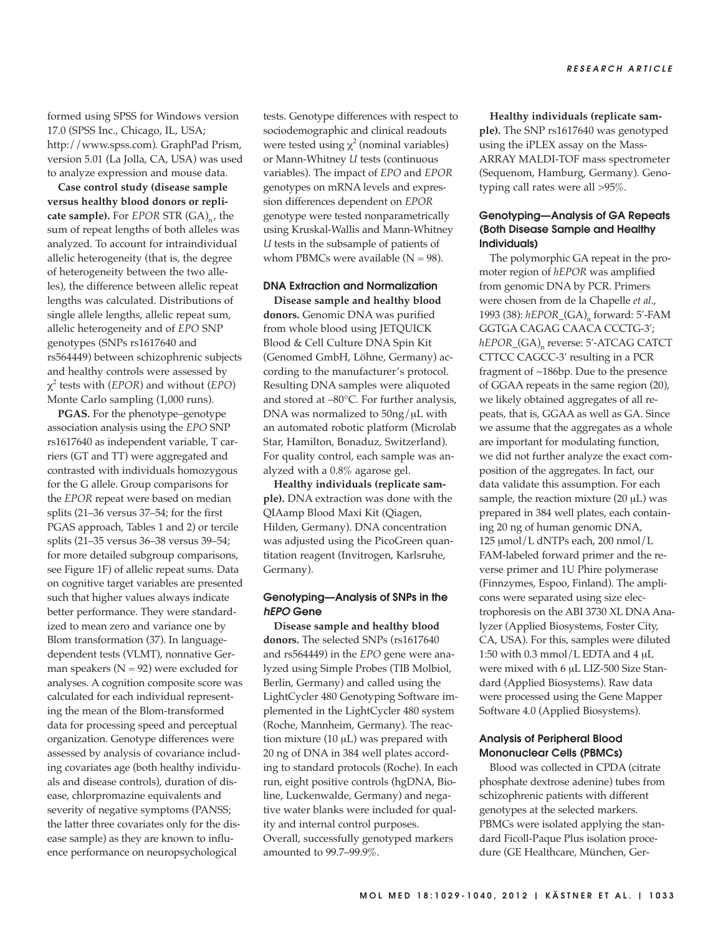formed using SPSS for Windows version 17.0 (SPSS Inc., Chicago, IL, USA; http:// www.spss.com). GraphPad Prism, version 5.01 (La Jolla, CA, USA) was used to analyze expression and mouse data.

**Case control study (disease sample versus healthy blood donors or replicate sample).** For *EPOR* STR  $(GA)_{n}$ , the sum of repeat lengths of both alleles was analyzed. To account for intraindividual allelic heterogeneity (that is, the degree of heterogeneity between the two alleles), the difference between allelic repeat lengths was calculated. Distributions of single allele lengths, allelic repeat sum, allelic heterogeneity and of *EPO* SNP genotypes (SNPs rs1617640 and rs564449) between schizophrenic subjects and healthy controls were assessed by χ<sup>2</sup> tests with (*EPOR*) and without (*EPO*) Monte Carlo sampling (1,000 runs).

**PGAS.** For the phenotype–genotype association analysis using the *EPO* SNP rs1617640 as independent variable, T carriers (GT and TT) were aggregated and contrasted with individuals homozygous for the G allele. Group comparisons for the *EPOR* repeat were based on median splits (21–36 versus 37–54; for the first PGAS approach, Tables 1 and 2) or tercile splits (21–35 versus 36–38 versus 39–54; for more detailed subgroup comparisons, see Figure 1F) of allelic repeat sums. Data on cognitive target variables are presented such that higher values always indicate better performance. They were standardized to mean zero and variance one by Blom transformation (37). In language dependent tests (VLMT), nonnative German speakers ( $N = 92$ ) were excluded for analyses. A cognition composite score was calculated for each individual representing the mean of the Blom-transformed data for processing speed and perceptual organization. Genotype differences were assessed by analysis of covariance including covariates age (both healthy individuals and disease controls), duration of disease, chlorpromazine equivalents and severity of negative symptoms (PANSS; the latter three covariates only for the disease sample) as they are known to influence performance on neuropsychological

tests. Genotype differences with respect to sociodemographic and clinical readouts were tested using  $\chi^2$  (nominal variables) or Mann-Whitney *U* tests (continuous variables). The impact of *EPO* and *EPOR* genotypes on mRNA levels and expression differences dependent on *EPOR* genotype were tested nonparametrically using Kruskal-Wallis and Mann- Whitney *U* tests in the subsample of patients of whom PBMCs were available  $(N = 98)$ .

## **DNA Extraction and Normalization**

**Disease sample and healthy blood donors.** Genomic DNA was purified from whole blood using JETQUICK Blood & Cell Culture DNA Spin Kit (Genomed GmbH, Löhne, Germany) according to the manufacturer's protocol. Resulting DNA samples were aliquoted and stored at –80°C. For further analysis, DNA was normalized to 50ng/μL with an automated robotic platform (Microlab Star, Hamilton, Bonaduz, Switzerland). For quality control, each sample was analyzed with a 0.8% agarose gel.

**Healthy individuals (replicate sample).** DNA extraction was done with the QIAamp Blood Maxi Kit (Qiagen, Hilden, Germany). DNA concentration was adjusted using the PicoGreen quantitation reagent (Invitrogen, Karlsruhe, Germany).

## **Genotyping—Analysis of SNPs in the hEPO Gene**

**Disease sample and healthy blood donors.** The selected SNPs (rs1617640 and rs564449) in the *EPO* gene were analyzed using Simple Probes (TIB Molbiol, Berlin, Germany) and called using the LightCycler 480 Genotyping Software implemented in the LightCycler 480 system (Roche, Mannheim, Germany). The reaction mixture (10 μL) was prepared with 20 ng of DNA in 384 well plates according to standard protocols (Roche). In each run, eight positive controls (hgDNA, Bioline, Luckenwalde, Germany) and negative water blanks were included for quality and internal control purposes. Overall, successfully genotyped markers amounted to 99.7–99.9%.

**Healthy individuals (replicate sample).** The SNP rs1617640 was genotyped using the iPLEX assay on the Mass-ARRAY MALDI-TOF mass spectrometer (Sequenom, Hamburg, Germany). Genotyping call rates were all >95%.

## **Genotyping—Analysis of GA Repeats (Both Disease Sample and Healthy Individuals)**

The polymorphic GA repeat in the promoter region of *hEPOR* was amplified from genomic DNA by PCR. Primers were chosen from de la Chapelle *et al*., 1993 (38): *hEPOR*<sub>\_</sub>(GA)<sub>n</sub> forward: 5'-FAM GGTGA CAGAG CAACA CCCTG-3′; *hEPOR*\_(GA)<sub>n</sub> reverse: 5'-ATCAG CATCT CTTCC CAGCC-3′ resulting in a PCR fragment of ~186bp. Due to the presence of GGAA repeats in the same region (20), we likely obtained aggregates of all repeats, that is, GGAA as well as GA. Since we assume that the aggregates as a whole are important for modulating function, we did not further analyze the exact composition of the aggregates. In fact, our data validate this assumption. For each sample, the reaction mixture (20 μL) was prepared in 384 well plates, each containing 20 ng of human genomic DNA, 125 μmol/L dNTPs each, 200 nmol/L FAM-labeled forward primer and the reverse primer and 1U Phire polymerase (Finnzymes, Espoo, Finland). The amplicons were separated using size electrophoresis on the ABI 3730 XL DNA Analyzer (Applied Biosystems, Foster City, CA, USA). For this, samples were diluted 1:50 with 0.3 mmol/L EDTA and 4 μL were mixed with 6 μL LIZ-500 Size Standard (Applied Biosystems). Raw data were processed using the Gene Mapper Software 4.0 (Applied Biosystems).

## **Analysis of Peripheral Blood Mononuclear Cells (PBMCs)**

Blood was collected in CPDA (citrate phosphate dextrose adenine) tubes from schizophrenic patients with different genotypes at the selected markers. PBMCs were isolated applying the standard Ficoll-Paque Plus isolation procedure (GE Healthcare, München, Ger-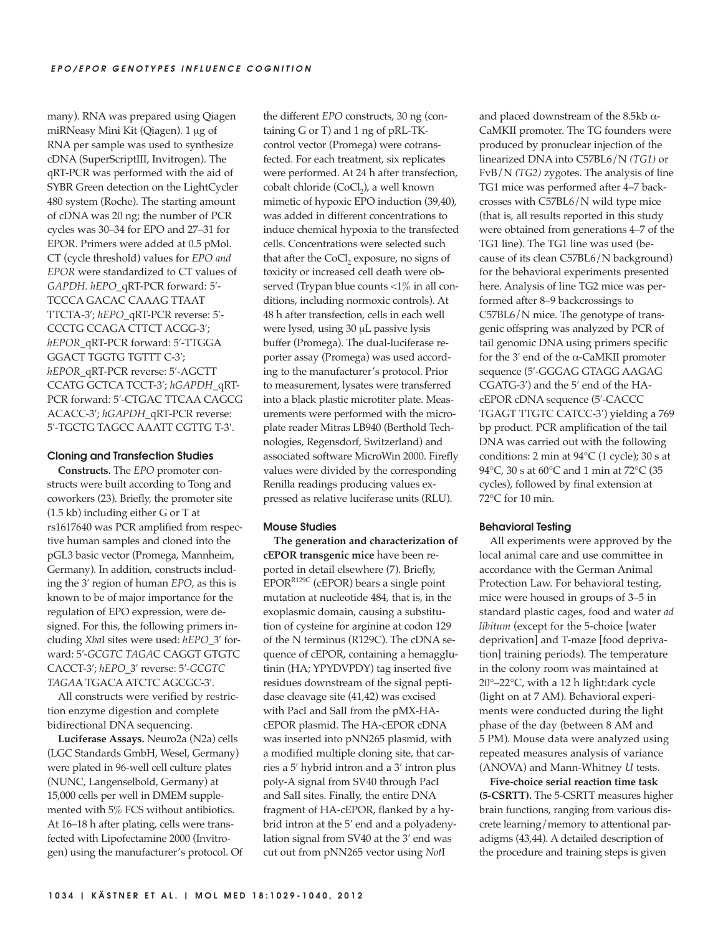many). RNA was prepared using Qiagen miRNeasy Mini Kit (Qiagen). 1 μg of RNA per sample was used to synthesize cDNA (SuperScriptIII, Invitrogen). The qRT-PCR was performed with the aid of SYBR Green detection on the LightCycler 480 system (Roche). The starting amount of cDNA was 20 ng; the number of PCR cycles was 30–34 for EPO and 27–31 for EPOR. Primers were added at 0.5 pMol. CT (cycle threshold) values for *EPO and EPOR* were standardized to CT values of *GAPDH*. *hEPO*\_qRT-PCR forward: 5′- TCCCA GACAC CAAAG TTAAT TTCTA-3′; *hEPO*\_qRT-PCR reverse: 5′- CCCTG CCAGA CTTCT ACGG-3′; *hEPOR*\_qRT-PCR forward: 5′-TTGGA GGACT TGGTG TGTTT C-3′; *hEPOR*\_qRT-PCR reverse: 5′-AGCTT CCATG GCTCA TCCT-3′; *hGAPDH*\_qRT-PCR forward: 5′-CTGAC TTCAA CAGCG ACACC-3′; *hGAPDH*\_qRT-PCR reverse: 5′-TGCTG TAGCC AAATT CGTTG T-3′.

#### **Cloning and Transfection Studies**

**Constructs.** The *EPO* promoter constructs were built according to Tong and coworkers (23). Briefly, the promoter site (1.5 kb) including either G or T at rs1617640 was PCR amplified from respective human samples and cloned into the pGL3 basic vector (Promega, Mannheim, Germany). In addition, constructs including the 3′ region of human *EPO*, as this is known to be of major importance for the regulation of EPO expression, were designed. For this, the following primers including *Xba*I sites were used: *hEPO*\_3′ forward: 5′-*GCGTC TAGA*C CAGGT GTGTC CACCT-3′; *hEPO*\_3′ reverse: 5′-*GCGTC TAGA*A TGACA ATCTC AGCGC-3′.

All constructs were verified by restriction enzyme digestion and complete bidirectional DNA sequencing.

**Luciferase Assays.** Neuro2a (N2a) cells (LGC Standards GmbH, Wesel, Germany) were plated in 96-well cell culture plates (NUNC, Langenselbold, Germany) at 15,000 cells per well in DMEM supplemented with 5% FCS without antibiotics. At 16–18 h after plating, cells were transfected with Lipofectamine 2000 (Invitrogen) using the manufacturer's protocol. Of the different *EPO* constructs, 30 ng (containing G or T) and 1 ng of pRL-TK control vector (Promega) were cotransfected. For each treatment, six replicates were performed. At 24 h after transfection, cobalt chloride (CoCl<sub>2</sub>), a well known mimetic of hypoxic EPO induction (39,40), was added in different concentrations to induce chemical hypoxia to the transfected cells. Concentrations were selected such that after the CoCl, exposure, no signs of toxicity or increased cell death were observed (Trypan blue counts <1% in all conditions, including normoxic controls). At 48 h after transfection, cells in each well were lysed, using 30 μL passive lysis buffer (Promega). The dual-luciferase reporter assay (Promega) was used according to the manufacturer's protocol. Prior to measurement, lysates were transferred into a black plastic microtiter plate. Measurements were performed with the microplate reader Mitras LB940 (Berthold Technologies, Regensdorf, Switzerland) and associated software MicroWin 2000. Firefly values were divided by the corresponding Renilla readings producing values expressed as relative luciferase units (RLU).

#### **Mouse Studies**

**The generation and characterization of cEPOR transgenic mice** have been reported in detail elsewhere (7). Briefly,  $EPOR<sup>R129C</sup>$  (cEPOR) bears a single point mutation at nucleotide 484, that is, in the exoplasmic domain, causing a substitution of cysteine for arginine at codon 129 of the N terminus (R129C). The cDNA sequence of cEPOR, containing a hemagglutinin (HA; YPYDVPDY) tag inserted five residues downstream of the signal peptidase cleavage site (41,42) was excised with PacI and SalI from the pMX-HAcEPOR plasmid. The HA-cEPOR cDNA was inserted into pNN265 plasmid, with a modified multiple cloning site, that carries a 5′ hybrid intron and a 3′ intron plus poly-A signal from SV40 through PacI and SalI sites. Finally, the entire DNA fragment of HA-cEPOR, flanked by a hybrid intron at the 5′ end and a polyadenylation signal from SV40 at the 3′ end was cut out from pNN265 vector using *Not*I

and placed downstream of the 8.5kb  $\alpha$ -CaMKII promoter. The TG founders were produced by pronuclear injection of the linearized DNA into C57BL6/N *(TG1)* or FvB/N *(TG2)* zygotes. The analysis of line TG1 mice was performed after 4–7 backcrosses with C57BL6/N wild type mice (that is, all results reported in this study were obtained from generations 4–7 of the TG1 line). The TG1 line was used (because of its clean C57BL6/N background) for the behavioral experiments presented here. Analysis of line TG2 mice was performed after 8–9 backcrossings to C57BL6/N mice. The genotype of transgenic offspring was analyzed by PCR of tail genomic DNA using primers specific for the 3′ end of the α-CaMKII promoter sequence (5′-GGGAG GTAGG AAGAG CGATG-3′) and the 5′ end of the HAcEPOR cDNA sequence (5′-CACCC TGAGT TTGTC CATCC-3′) yielding a 769 bp product. PCR amplification of the tail DNA was carried out with the following conditions: 2 min at 94°C (1 cycle); 30 s at 94°C, 30 s at 60°C and 1 min at 72°C (35 cycles), followed by final extension at 72°C for 10 min.

#### **Behavioral Testing**

All experiments were approved by the local animal care and use committee in accordance with the German Animal Protection Law. For behavioral testing, mice were housed in groups of 3–5 in standard plastic cages, food and water *ad libitum* (except for the 5-choice [water deprivation] and T-maze [food deprivation] training periods). The temperature in the colony room was maintained at 20°–22°C, with a 12 h light:dark cycle (light on at 7 AM). Behavioral experiments were conducted during the light phase of the day (between 8 AM and 5 PM). Mouse data were analyzed using repeated measures analysis of variance (ANOVA) and Mann-Whitney *U* tests.

**Five-choice serial reaction time task (5-CSRTT).** The 5-CSRTT measures higher brain functions, ranging from various discrete learning/memory to attentional paradigms (43,44). A detailed description of the procedure and training steps is given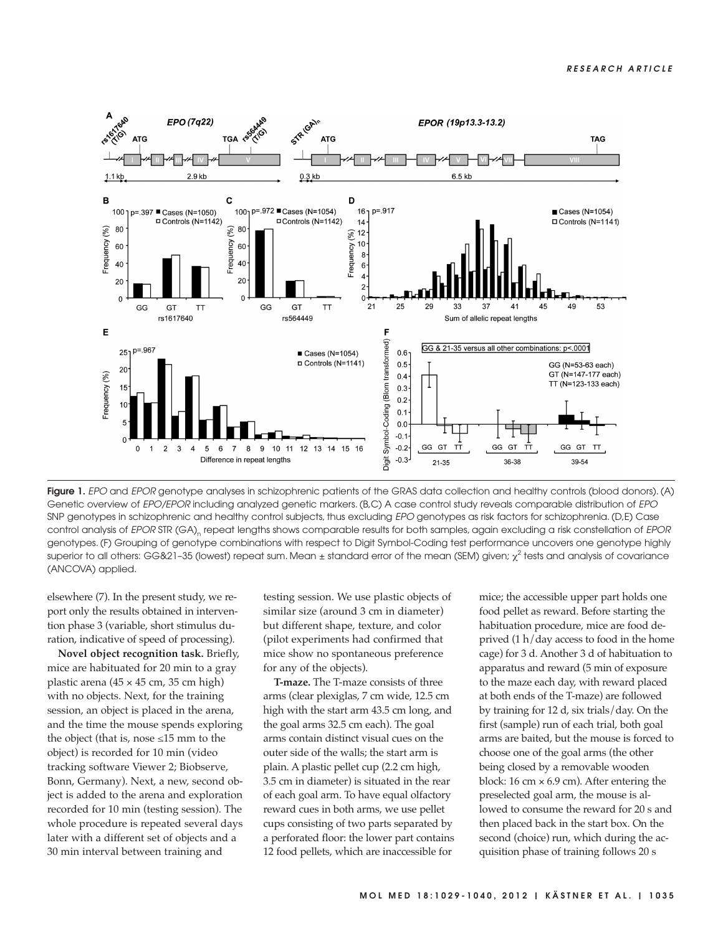

**Figure 1.** EPO and EPOR genotype analyses in schizophrenic patients of the GRAS data collection and healthy controls (blood donors). (A) Genetic overview of EPO/EPOR including analyzed genetic markers. (B,C) A case control study reveals comparable distribution of EPO SNP genotypes in schizophrenic and healthy control subjects, thus excluding EPO genotypes as risk factors for schizophrenia. (D,E) Case control analysis of EPOR STR (GA)<sub>n</sub> repeat lengths shows comparable results for both samples, again excluding a risk constellation of EPOR genotypes. (F) Grouping of genotype combinations with respect to Digit Symbol-Coding test performance uncovers one genotype highly superior to all others: GG&21-35 (lowest) repeat sum. Mean  $\pm$  standard error of the mean (SEM) given;  $\chi^2$  tests and analysis of covariance (ANCOVA) applied.

elsewhere (7). In the present study, we report only the results obtained in intervention phase 3 (variable, short stimulus duration, indicative of speed of processing).

**Novel object recognition task.** Briefly, mice are habituated for 20 min to a gray plastic arena (45 × 45 cm, 35 cm high) with no objects. Next, for the training session, an object is placed in the arena, and the time the mouse spends exploring the object (that is, nose ≤15 mm to the object) is recorded for 10 min (video tracking software Viewer 2; Biobserve, Bonn, Germany). Next, a new, second object is added to the arena and exploration recorded for 10 min (testing session). The whole procedure is repeated several days later with a different set of objects and a 30 min interval between training and

testing session. We use plastic objects of similar size (around 3 cm in diameter) but different shape, texture, and color (pilot experiments had confirmed that mice show no spontaneous preference for any of the objects).

**T-maze.** The T-maze consists of three arms (clear plexiglas, 7 cm wide, 12.5 cm high with the start arm 43.5 cm long, and the goal arms 32.5 cm each). The goal arms contain distinct visual cues on the outer side of the walls; the start arm is plain. A plastic pellet cup (2.2 cm high, 3.5 cm in diameter) is situated in the rear of each goal arm. To have equal olfactory reward cues in both arms, we use pellet cups consisting of two parts separated by a perforated floor: the lower part contains 12 food pellets, which are inaccessible for

mice; the accessible upper part holds one food pellet as reward. Before starting the habituation procedure, mice are food deprived (1 h/day access to food in the home cage) for 3 d. Another 3 d of habituation to apparatus and reward (5 min of exposure to the maze each day, with reward placed at both ends of the T-maze) are followed by training for 12 d, six trials/day. On the first (sample) run of each trial, both goal arms are baited, but the mouse is forced to choose one of the goal arms (the other being closed by a removable wooden block:  $16 \text{ cm} \times 6.9 \text{ cm}$ ). After entering the preselected goal arm, the mouse is allowed to consume the reward for 20 s and then placed back in the start box. On the second (choice) run, which during the acquisition phase of training follows 20 s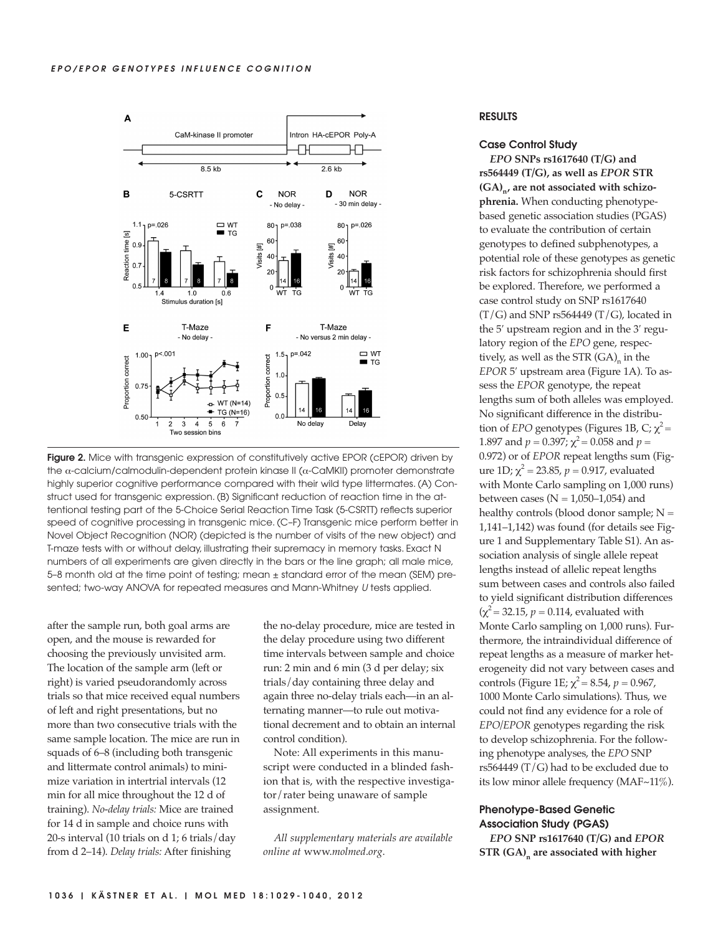

**Figure 2.** Mice with transgenic expression of constitutively active EPOR (cEPOR) driven by the α-calcium/calmodulin-dependent protein kinase II (α-CaMKII) promoter demonstrate highly superior cognitive performance compared with their wild type littermates. (A) Construct used for transgenic expression. (B) Significant reduction of reaction time in the attentional testing part of the 5-Choice Serial Reaction Time Task (5-CSRTT) reflects superior speed of cognitive processing in transgenic mice. (C–F) Transgenic mice perform better in Novel Object Recognition (NOR) (depicted is the number of visits of the new object) and T-maze tests with or without delay, illustrating their supremacy in memory tasks. Exact N numbers of all experiments are given directly in the bars or the line graph; all male mice, 5-8 month old at the time point of testing; mean  $\pm$  standard error of the mean (SEM) presented; two-way ANOVA for repeated measures and Mann-Whitney U tests applied.

after the sample run, both goal arms are open, and the mouse is rewarded for choosing the previously unvisited arm. The location of the sample arm (left or right) is varied pseudorandomly across trials so that mice received equal numbers of left and right presentations, but no more than two consecutive trials with the same sample location. The mice are run in squads of 6–8 (including both transgenic and littermate control animals) to minimize variation in intertrial intervals (12 min for all mice throughout the 12 d of training). *No-delay trials:* Mice are trained for 14 d in sample and choice runs with 20-s interval (10 trials on d 1; 6 trials/day from d 2–14). *Delay trials:* After finishing

the no-delay procedure, mice are tested in the delay procedure using two different time intervals between sample and choice run: 2 min and 6 min (3 d per delay; six trials/ day containing three delay and again three no-delay trials each—in an alternating manner—to rule out motivational decrement and to obtain an internal control condition).

Note: All experiments in this manuscript were conducted in a blinded fashion that is, with the respective investigator/rater being unaware of sample assignment.

*All supplementary materials are available online at* www.*molmed*.*org*.

## **RESULTS**

#### **Case Control Study**

*EPO* **SNPs rs1617640 (T/G) and rs564449 (T/G), as well as** *EPOR* **STR** (GA)<sub>n</sub>, are not associated with schizo**phrenia.** When conducting phenotypebased genetic association studies (PGAS) to evaluate the contribution of certain genotypes to defined subphenotypes, a potential role of these genotypes as genetic risk factors for schizophrenia should first be explored. Therefore, we performed a case control study on SNP rs1617640  $(T/G)$  and SNP rs564449  $(T/G)$ , located in the 5′ upstream region and in the 3′ regulatory region of the *EPO* gene, respectively, as well as the STR  $(GA)$ <sub>n</sub> in the *EPOR* 5′ upstream area (Figure 1A). To assess the *EPOR* genotype, the repeat lengths sum of both alleles was employed. No significant difference in the distribution of *EPO* genotypes (Figures 1B, C;  $\chi^2$  = 1.897 and  $p = 0.397$ ;  $\chi^2 = 0.058$  and  $p =$ 0.972) or of *EPOR* repeat lengths sum (Figure 1D;  $\chi^2$  = 23.85, *p* = 0.917, evaluated with Monte Carlo sampling on 1,000 runs) between cases  $(N = 1,050-1,054)$  and healthy controls (blood donor sample;  $N =$ 1,141–1,142) was found (for details see Figure 1 and Supplementary Table S1). An association analysis of single allele repeat lengths instead of allelic repeat lengths sum between cases and controls also failed to yield significant distribution differences  $(\chi^2 = 32.15, p = 0.114,$  evaluated with Monte Carlo sampling on 1,000 runs). Furthermore, the intraindividual difference of repeat lengths as a measure of marker heterogeneity did not vary between cases and controls (Figure 1E;  $\chi^2$  = 8.54, *p* = 0.967, 1000 Monte Carlo simulations). Thus, we could not find any evidence for a role of *EPO/EPOR* genotypes regarding the risk to develop schizophrenia. For the following phenotype analyses, the *EPO* SNP rs564449  $(T/G)$  had to be excluded due to its low minor allele frequency (MAF~11%).

## **Phenotype-Based Genetic Association Study (PGAS)**

*EPO* **SNP rs1617640 (T/G) and** *EPOR* **STR (GA)<sub>n</sub>** are associated with higher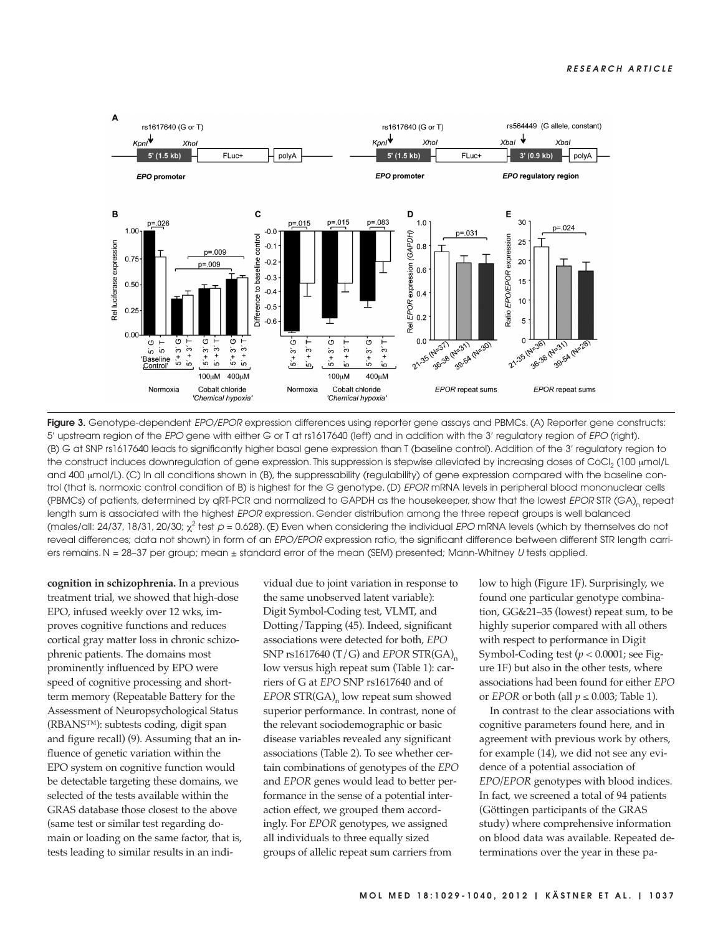

**Figure 3.** Genotype-dependent EPO/EPOR expression differences using reporter gene assays and PBMCs. (A) Reporter gene constructs: 5′ upstream region of the EPO gene with either G or T at rs1617640 (left) and in addition with the 3′ regulatory region of EPO (right). (B) G at SNP rs1617640 leads to significantly higher basal gene expression than T (baseline control). Addition of the 3′ regulatory region to the construct induces downregulation of gene expression. This suppression is stepwise alleviated by increasing doses of CoCl<sub>2</sub> (100 μmol/L and 400 μmol/L). (C) In all conditions shown in (B), the suppressability (regulability) of gene expression compared with the baseline control (that is, normoxic control condition of B) is highest for the G genotype. (D) EPOR mRNA levels in peripheral blood mononuclear cells (PBMCs) of patients, determined by qRT-PCR and normalized to GAPDH as the housekeeper, show that the lowest EPOR STR (GA)<sub>n</sub> repeat length sum is associated with the highest EPOR expression. Gender distribution among the three repeat groups is well balanced (males/all: 24/37, 18/31, 20/30;  $\chi^2$  test  $p = 0.628$ ). (E) Even when considering the individual EPO mRNA levels (which by themselves do not reveal differences; data not shown) in form of an EPO/EPOR expression ratio, the significant difference between different STR length carriers remains. N = 28–37 per group; mean ± standard error of the mean (SEM) presented; Mann-Whitney U tests applied.

**cognition in schizophrenia.** In a previous treatment trial, we showed that high-dose EPO, infused weekly over 12 wks, improves cognitive functions and reduces cortical gray matter loss in chronic schizophrenic patients. The domains most prominently influenced by EPO were speed of cognitive processing and shortterm memory (Repeatable Battery for the Assessment of Neuropsychological Status (RBANS™): subtests coding, digit span and figure recall) (9). Assuming that an influence of genetic variation within the EPO system on cognitive function would be detectable targeting these domains, we selected of the tests available within the GRAS database those closest to the above (same test or similar test regarding domain or loading on the same factor, that is, tests leading to similar results in an individual due to joint variation in response to the same unobserved latent variable): Digit Symbol-Coding test, VLMT, and Dotting/ Tapping (45). Indeed, significant associations were detected for both, *EPO* SNP rs1617640  $(T/G)$  and *EPOR* STR(GA)<sub>n</sub> low versus high repeat sum (Table 1): carriers of G at *EPO* SNP rs1617640 and of *EPOR STR(GA)*<sub>n</sub> low repeat sum showed superior performance. In contrast, none of the relevant sociodemographic or basic disease variables revealed any significant associations (Table 2). To see whether certain combinations of genotypes of the *EPO* and *EPOR* genes would lead to better performance in the sense of a potential interaction effect, we grouped them accordingly. For *EPOR* genotypes, we assigned all individuals to three equally sized groups of allelic repeat sum carriers from

low to high (Figure 1F). Surprisingly, we found one particular genotype combination, GG&21–35 (lowest) repeat sum, to be highly superior compared with all others with respect to performance in Digit Symbol-Coding test (*p* < 0.0001; see Figure 1F) but also in the other tests, where associations had been found for either *EPO* or *EPOR* or both (all  $p \le 0.003$ ; Table 1).

In contrast to the clear associations with cognitive parameters found here, and in agreement with previous work by others, for example (14), we did not see any evidence of a potential association of *EPO/EPOR* genotypes with blood indices. In fact, we screened a total of 94 patients (Göttingen participants of the GRAS study) where comprehensive information on blood data was available. Repeated determinations over the year in these pa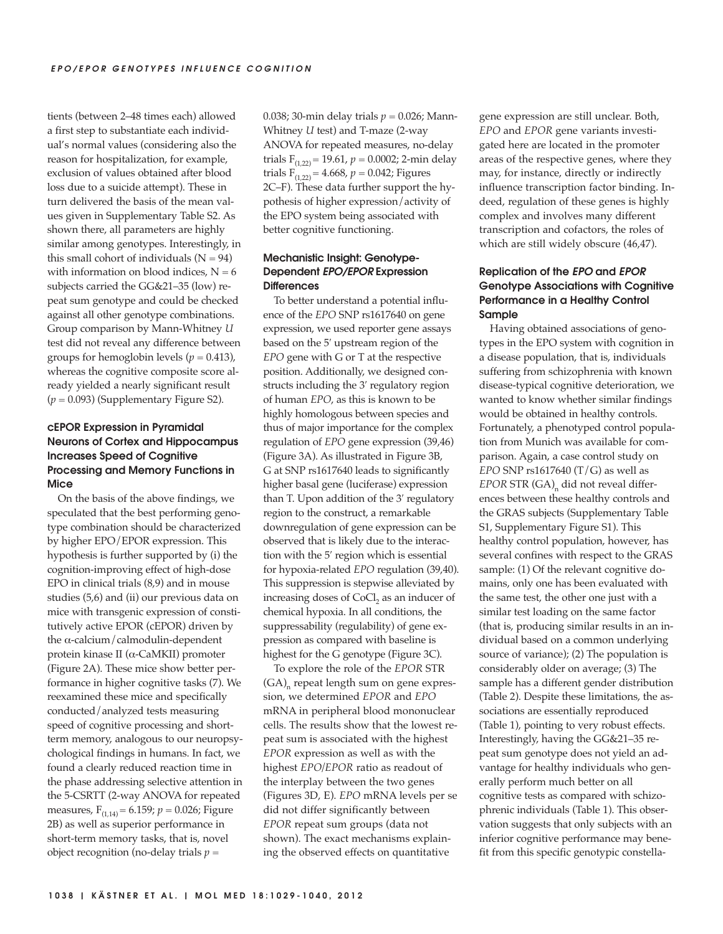tients (between 2–48 times each) allowed a first step to substantiate each individual's normal values (considering also the reason for hospitalization, for example, exclusion of values obtained after blood loss due to a suicide attempt). These in turn delivered the basis of the mean values given in Supplementary Table S2. As shown there, all parameters are highly similar among genotypes. Interestingly, in this small cohort of individuals  $(N = 94)$ with information on blood indices,  $N = 6$ subjects carried the GG&21–35 (low) repeat sum genotype and could be checked against all other genotype combinations. Group comparison by Mann-Whitney *U* test did not reveal any difference between groups for hemoglobin levels  $(p = 0.413)$ , whereas the cognitive composite score already yielded a nearly significant result (*p* = 0.093) (Supplementary Figure S2).

## **cEPOR Expression in Pyramidal Neurons of Cortex and Hippocampus Increases Speed of Cognitive Processing and Memory Functions in Mice**

On the basis of the above findings, we speculated that the best performing genotype combination should be characterized by higher EPO/EPOR expression. This hypothesis is further supported by (i) the cognition-improving effect of high-dose EPO in clinical trials (8,9) and in mouse studies (5,6) and (ii) our previous data on mice with transgenic expression of constitutively active EPOR (cEPOR) driven by the α-calcium/calmodulin-dependent protein kinase II (α-CaMKII) promoter (Figure 2A). These mice show better performance in higher cognitive tasks (7). We reexamined these mice and specifically conducted/ analyzed tests measuring speed of cognitive processing and shortterm memory, analogous to our neuropsychological findings in humans. In fact, we found a clearly reduced reaction time in the phase addressing selective attention in the 5-CSRTT (2-way ANOVA for repeated measures,  $F_{(1,14)} = 6.159$ ;  $p = 0.026$ ; Figure 2B) as well as superior performance in short-term memory tasks, that is, novel object recognition (no-delay trials  $p =$ 

0.038; 30-min delay trials *p* = 0.026; Mann-Whitney *U* test) and T-maze (2-way ANOVA for repeated measures, no-delay trials  $F_{(1,22)} = 19.61$ ,  $p = 0.0002$ ; 2-min delay trials  $F_{(1,22)} = 4.668$ ,  $p = 0.042$ ; Figures 2C–F). These data further support the hypothesis of higher expression/activity of the EPO system being associated with better cognitive functioning.

## **Mechanistic Insight: Genotype-Dependent EPO/EPOR Expression Differences**

To better understand a potential influence of the *EPO* SNP rs1617640 on gene expression, we used reporter gene assays based on the 5′ upstream region of the *EPO* gene with G or T at the respective position. Additionally, we designed constructs including the 3′ regulatory region of human *EPO*, as this is known to be highly homologous between species and thus of major importance for the complex regulation of *EPO* gene expression (39,46) (Figure 3A). As illustrated in Figure 3B, G at SNP rs1617640 leads to significantly higher basal gene (luciferase) expression than T. Upon addition of the 3′ regulatory region to the construct, a remarkable downregulation of gene expression can be observed that is likely due to the interaction with the 5′ region which is essential for hypoxia-related *EPO* regulation (39,40). This suppression is stepwise alleviated by increasing doses of CoCl<sub>2</sub> as an inducer of chemical hypoxia. In all conditions, the suppressability (regulability) of gene expression as compared with baseline is highest for the G genotype (Figure 3C).

To explore the role of the *EPOR* STR  $(GA)$ <sub>n</sub> repeat length sum on gene expression, we determined *EPOR* and *EPO* mRNA in peripheral blood mononuclear cells. The results show that the lowest repeat sum is associated with the highest *EPOR* expression as well as with the highest *EPO/EPOR* ratio as readout of the interplay between the two genes (Figures 3D, E). *EPO* mRNA levels per se did not differ significantly between *EPOR* repeat sum groups (data not shown). The exact mechanisms explaining the observed effects on quantitative

gene expression are still unclear. Both, *EPO* and *EPOR* gene variants investigated here are located in the promoter areas of the respective genes, where they may, for instance, directly or indirectly influence transcription factor binding. Indeed, regulation of these genes is highly complex and involves many different transcription and cofactors, the roles of which are still widely obscure (46,47).

## **Replication of the EPO and EPOR Genotype Associations with Cognitive Performance in a Healthy Control Sample**

Having obtained associations of genotypes in the EPO system with cognition in a disease population, that is, individuals suffering from schizophrenia with known disease-typical cognitive deterioration, we wanted to know whether similar findings would be obtained in healthy controls. Fortunately, a phenotyped control population from Munich was available for comparison. Again, a case control study on *EPO* SNP rs1617640 (T/G) as well as *EPOR STR (GA)<sub>n</sub>* did not reveal differences between these healthy controls and the GRAS subjects (Supplementary Table S1, Supplementary Figure S1). This healthy control population, however, has several confines with respect to the GRAS sample: (1) Of the relevant cognitive domains, only one has been evaluated with the same test, the other one just with a similar test loading on the same factor (that is, producing similar results in an individual based on a common underlying source of variance); (2) The population is considerably older on average; (3) The sample has a different gender distribution (Table 2). Despite these limitations, the associations are essentially reproduced (Table 1), pointing to very robust effects. Interestingly, having the GG&21–35 repeat sum genotype does not yield an advantage for healthy individuals who generally perform much better on all cognitive tests as compared with schizophrenic individuals (Table 1). This observation suggests that only subjects with an inferior cognitive performance may benefit from this specific genotypic constella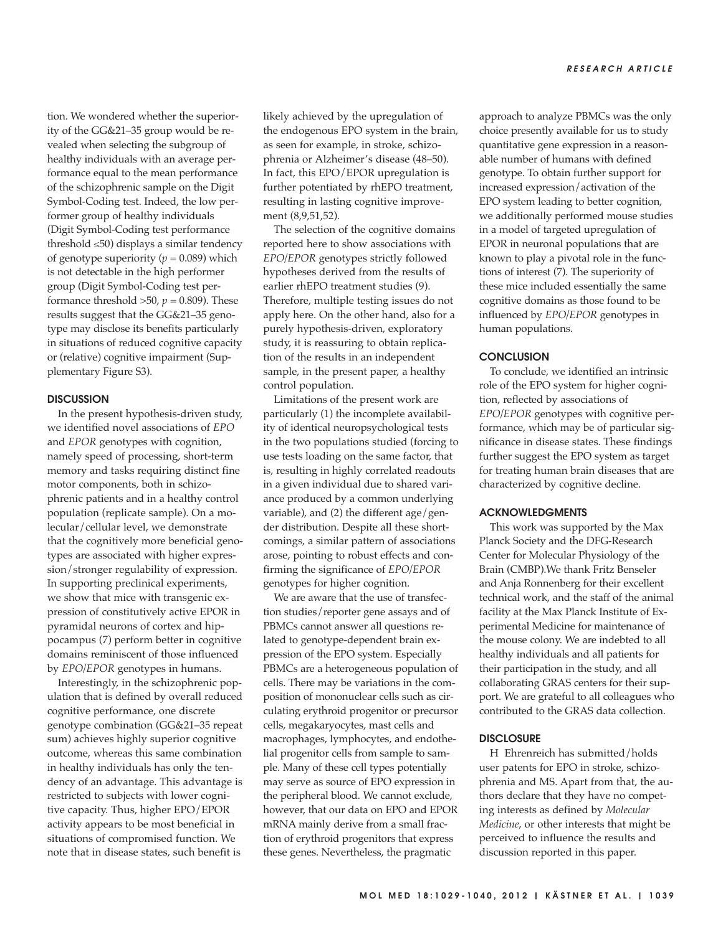tion. We wondered whether the superiority of the GG&21–35 group would be revealed when selecting the subgroup of healthy individuals with an average performance equal to the mean performance of the schizophrenic sample on the Digit Symbol-Coding test. Indeed, the low performer group of healthy individuals (Digit Symbol-Coding test performance threshold ≤50) displays a similar tendency of genotype superiority  $(p = 0.089)$  which is not detectable in the high performer group (Digit Symbol-Coding test performance threshold  $>50$ ,  $p = 0.809$ ). These results suggest that the GG&21–35 genotype may disclose its benefits particularly in situations of reduced cognitive capacity or (relative) cognitive impairment (Supplementary Figure S3).

#### **DISCUSSION**

In the present hypothesis-driven study, we identified novel associations of *EPO* and *EPOR* genotypes with cognition, namely speed of processing, short-term memory and tasks requiring distinct fine motor components, both in schizophrenic patients and in a healthy control population (replicate sample). On a molecular/cellular level, we demonstrate that the cognitively more beneficial genotypes are associated with higher expression/stronger regulability of expression. In supporting preclinical experiments, we show that mice with transgenic expression of constitutively active EPOR in pyramidal neurons of cortex and hippocampus (7) perform better in cognitive domains reminiscent of those influenced by *EPO/EPOR* genotypes in humans.

Interestingly, in the schizophrenic population that is defined by overall reduced cognitive performance, one discrete genotype combination (GG&21–35 repeat sum) achieves highly superior cognitive outcome, whereas this same combination in healthy individuals has only the tendency of an advantage. This advantage is restricted to subjects with lower cognitive capacity. Thus, higher EPO/EPOR activity appears to be most beneficial in situations of compromised function. We note that in disease states, such benefit is

likely achieved by the upregulation of the endogenous EPO system in the brain, as seen for example, in stroke, schizophrenia or Alzheimer's disease (48–50). In fact, this EPO/EPOR upregulation is further potentiated by rhEPO treatment, resulting in lasting cognitive improvement (8,9,51,52).

The selection of the cognitive domains reported here to show associations with *EPO/EPOR* genotypes strictly followed hypotheses derived from the results of earlier rhEPO treatment studies (9). Therefore, multiple testing issues do not apply here. On the other hand, also for a purely hypothesis-driven, exploratory study, it is reassuring to obtain replication of the results in an independent sample, in the present paper, a healthy control population.

Limitations of the present work are particularly (1) the incomplete availability of identical neuropsychological tests in the two populations studied (forcing to use tests loading on the same factor, that is, resulting in highly correlated readouts in a given individual due to shared variance produced by a common underlying variable), and (2) the different age/gender distribution. Despite all these shortcomings, a similar pattern of associations arose, pointing to robust effects and confirming the significance of *EPO/EPOR* genotypes for higher cognition.

We are aware that the use of transfection studies/reporter gene assays and of PBMCs cannot answer all questions related to genotype-dependent brain expression of the EPO system. Especially PBMCs are a heterogeneous population of cells. There may be variations in the composition of mononuclear cells such as circulating erythroid progenitor or precursor cells, megakaryocytes, mast cells and macrophages, lymphocytes, and endothelial progenitor cells from sample to sample. Many of these cell types potentially may serve as source of EPO expression in the peripheral blood. We cannot exclude, however, that our data on EPO and EPOR mRNA mainly derive from a small fraction of erythroid progenitors that express these genes. Nevertheless, the pragmatic

approach to analyze PBMCs was the only choice presently available for us to study quantitative gene expression in a reasonable number of humans with defined genotype. To obtain further support for increased expression/activation of the EPO system leading to better cognition, we additionally performed mouse studies in a model of targeted upregulation of EPOR in neuronal populations that are known to play a pivotal role in the functions of interest (7). The superiority of these mice included essentially the same cognitive domains as those found to be influenced by *EPO/EPOR* genotypes in human populations.

#### **CONCLUSION**

To conclude, we identified an intrinsic role of the EPO system for higher cognition, reflected by associations of *EPO/EPOR* genotypes with cognitive performance, which may be of particular significance in disease states. These findings further suggest the EPO system as target for treating human brain diseases that are characterized by cognitive decline.

## **ACKNOWLEDGMENTS**

This work was supported by the Max Planck Society and the DFG-Research Center for Molecular Physiology of the Brain (CMBP).We thank Fritz Benseler and Anja Ronnenberg for their excellent technical work, and the staff of the animal facility at the Max Planck Institute of Experimental Medicine for maintenance of the mouse colony. We are indebted to all healthy individuals and all patients for their participation in the study, and all collaborating GRAS centers for their support. We are grateful to all colleagues who contributed to the GRAS data collection.

#### **DISCLOSURE**

H Ehrenreich has submitted/holds user patents for EPO in stroke, schizophrenia and MS. Apart from that, the authors declare that they have no competing interests as defined by *Molecular Medicine*, or other interests that might be perceived to influence the results and discussion reported in this paper.